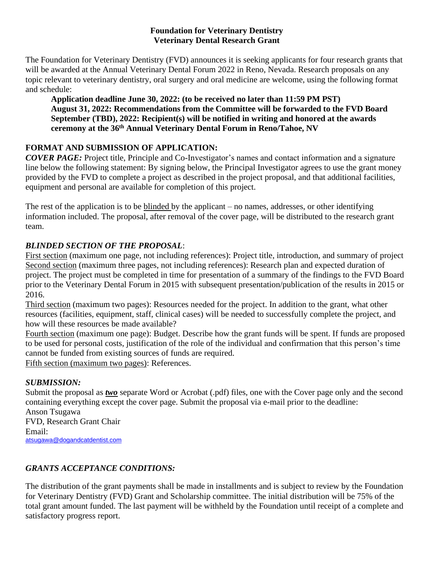#### **Foundation for Veterinary Dentistry Veterinary Dental Research Grant**

The Foundation for Veterinary Dentistry (FVD) announces it is seeking applicants for four research grants that will be awarded at the Annual Veterinary Dental Forum 2022 in Reno, Nevada. Research proposals on any topic relevant to veterinary dentistry, oral surgery and oral medicine are welcome, using the following format and schedule:

**Application deadline June 30, 2022: (to be received no later than 11:59 PM PST) August 31, 2022: Recommendations from the Committee will be forwarded to the FVD Board September (TBD), 2022: Recipient(s) will be notified in writing and honored at the awards ceremony at the 36th Annual Veterinary Dental Forum in Reno/Tahoe, NV**

# **FORMAT AND SUBMISSION OF APPLICATION:**

*COVER PAGE:* Project title, Principle and Co-Investigator's names and contact information and a signature line below the following statement: By signing below, the Principal Investigator agrees to use the grant money provided by the FVD to complete a project as described in the project proposal, and that additional facilities, equipment and personal are available for completion of this project.

The rest of the application is to be blinded by the applicant – no names, addresses, or other identifying information included. The proposal, after removal of the cover page, will be distributed to the research grant team.

## *BLINDED SECTION OF THE PROPOSAL*:

First section (maximum one page, not including references): Project title, introduction, and summary of project Second section (maximum three pages, not including references): Research plan and expected duration of project. The project must be completed in time for presentation of a summary of the findings to the FVD Board prior to the Veterinary Dental Forum in 2015 with subsequent presentation/publication of the results in 2015 or 2016.

Third section (maximum two pages): Resources needed for the project. In addition to the grant, what other resources (facilities, equipment, staff, clinical cases) will be needed to successfully complete the project, and how will these resources be made available?

Fourth section (maximum one page): Budget. Describe how the grant funds will be spent. If funds are proposed to be used for personal costs, justification of the role of the individual and confirmation that this person's time cannot be funded from existing sources of funds are required.

Fifth section (maximum two pages): References.

### *SUBMISSION:*

Submit the proposal as *two* separate Word or Acrobat (.pdf) files, one with the Cover page only and the second containing everything except the cover page. Submit the proposal via e-mail prior to the deadline:

Anson Tsugawa FVD, Research Grant Chair Email: [atsugawa@dogandcatdentist.com](mailto:atsugawa@dogandcatdentist.com)

### *GRANTS ACCEPTANCE CONDITIONS:*

The distribution of the grant payments shall be made in installments and is subject to review by the Foundation for Veterinary Dentistry (FVD) Grant and Scholarship committee. The initial distribution will be 75% of the total grant amount funded. The last payment will be withheld by the Foundation until receipt of a complete and satisfactory progress report.